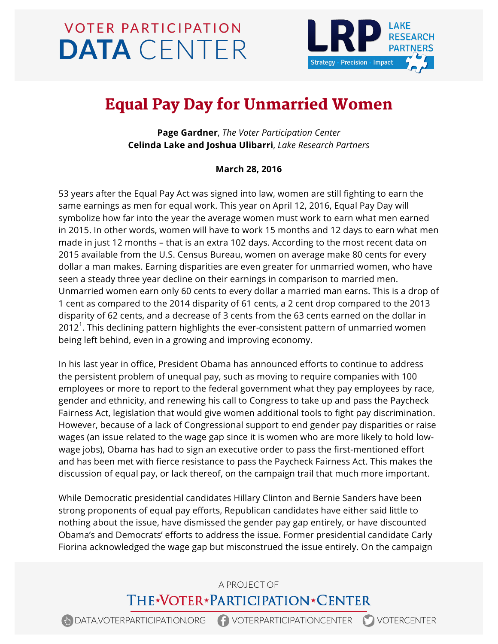# **VOTER PARTICIPATION DATA** CENTER



## Equal Pay Day for Unmarried Women

**Page Gardner**, *The Voter Participation Center* **Celinda Lake and Joshua Ulibarri**, *Lake Research Partners*

#### **March 28, 2016**

53 years after the Equal Pay Act was signed into law, women are still fighting to earn the same earnings as men for equal work. This year on April 12, 2016, Equal Pay Day will symbolize how far into the year the average women must work to earn what men earned in 2015. In other words, women will have to work 15 months and 12 days to earn what men made in just 12 months – that is an extra 102 days. According to the most recent data on 2015 available from the U.S. Census Bureau, women on average make 80 cents for every dollar a man makes. Earning disparities are even greater for unmarried women, who have seen a steady three year decline on their earnings in comparison to married men. Unmarried women earn only 60 cents to every dollar a married man earns. This is a drop of 1 cent as compared to the 2014 disparity of 61 cents, a 2 cent drop compared to the 2013 disparity of 62 cents, and a decrease of 3 cents from the 63 cents earned on the dollar in 2012 $^1$ . This declining pattern highlights the ever-consistent pattern of unmarried women being left behind, even in a growing and improving economy.

In his last year in office, President Obama has announced efforts to continue to address the persistent problem of unequal pay, such as moving to require companies with 100 employees or more to report to the federal government what they pay employees by race, gender and ethnicity, and renewing his call to Congress to take up and pass the Paycheck Fairness Act, legislation that would give women additional tools to fight pay discrimination. However, because of a lack of Congressional support to end gender pay disparities or raise wages (an issue related to the wage gap since it is women who are more likely to hold lowwage jobs), Obama has had to sign an executive order to pass the first-mentioned effort and has been met with fierce resistance to pass the Paycheck Fairness Act. This makes the discussion of equal pay, or lack thereof, on the campaign trail that much more important.

While Democratic presidential candidates Hillary Clinton and Bernie Sanders have been strong proponents of equal pay efforts, Republican candidates have either said little to nothing about the issue, have dismissed the gender pay gap entirely, or have discounted Obama's and Democrats' efforts to address the issue. Former presidential candidate Carly Fiorina acknowledged the wage gap but misconstrued the issue entirely. On the campaign

## A PROJECT OF THE\*VOTER\*PARTICIPATION\*CENTER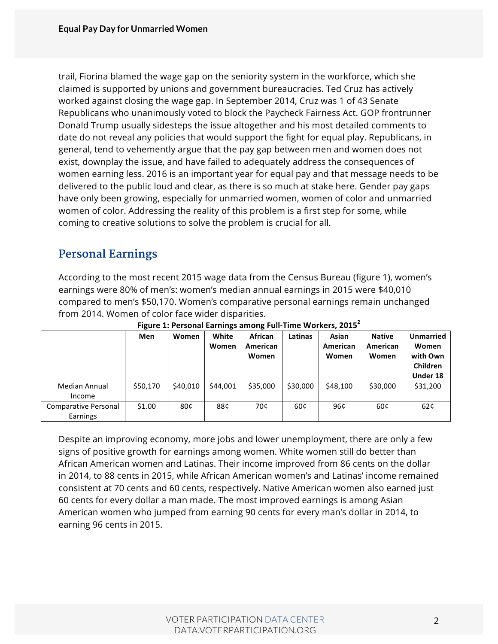trail, Fiorina blamed the wage gap on the seniority system in the workforce, which she claimed is supported by unions and government bureaucracies. Ted Cruz has actively worked against closing the wage gap. In September 2014, Cruz was 1 of 43 Senate Republicans who unanimously voted to block the Paycheck Fairness Act. GOP frontrunner Donald Trump usually sidesteps the issue altogether and his most detailed comments to date do not reveal any policies that would support the fight for equal play. Republicans, in general, tend to vehemently argue that the pay gap between men and women does not exist, downplay the issue, and have failed to adequately address the consequences of women earning less. 2016 is an important year for equal pay and that message needs to be delivered to the public loud and clear, as there is so much at stake here. Gender pay gaps have only been growing, especially for unmarried women, women of color and unmarried women of color. Addressing the reality of this problem is a first step for some, while coming to creative solutions to solve the problem is crucial for all.

## **Personal Earnings**

According to the most recent 2015 wage data from the Census Bureau (figure 1), women's earnings were 80% of men's: women's median annual earnings in 2015 were \$40,010 compared to men's \$50,170. Women's comparative personal earnings remain unchanged from 2014. Women of color face wider disparities.

|                                  | Men      | Women    | White<br>Women | <b>African</b><br>American<br>Women | Latinas  | Asian<br>American<br>Women | <b>Native</b><br>American<br>Women | <b>Unmarried</b><br>Women<br>with Own<br><b>Children</b> |
|----------------------------------|----------|----------|----------------|-------------------------------------|----------|----------------------------|------------------------------------|----------------------------------------------------------|
|                                  |          |          |                |                                     |          |                            |                                    | Under 18                                                 |
| <b>Median Annual</b><br>Income   | \$50,170 | \$40.010 | \$44,001       | \$35,000                            | \$30,000 | \$48,100                   | \$30,000                           | \$31,200                                                 |
| Comparative Personal<br>Earnings | \$1.00   | 80¢      | 88¢            | 70¢                                 | 60¢      | 96¢                        | 60¢                                | 62¢                                                      |

**Figure 1: Personal Earnings among Full-Time Workers, 2015**<sup>2</sup>

Despite an improving economy, more jobs and lower unemployment, there are only a few signs of positive growth for earnings among women. White women still do better than African American women and Latinas. Their income improved from 86 cents on the dollar in 2014, to 88 cents in 2015, while African American women's and Latinas' income remained consistent at 70 cents and 60 cents, respectively. Native American women also earned just 60 cents for every dollar a man made. The most improved earnings is among Asian American women who jumped from earning 90 cents for every man's dollar in 2014, to earning 96 cents in 2015.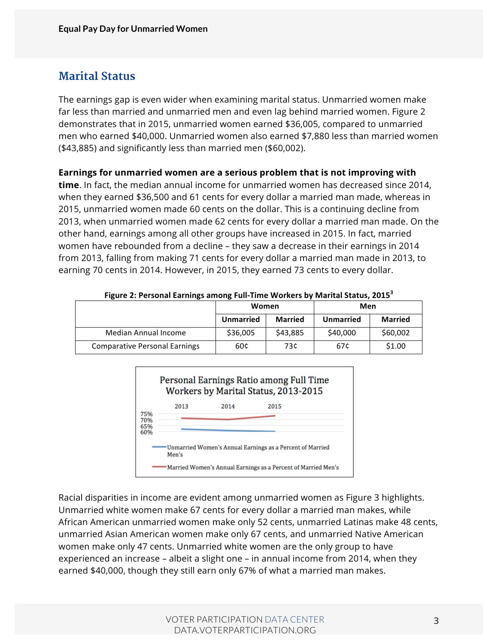#### **Marital Status**

The earnings gap is even wider when examining marital status. Unmarried women make far less than married and unmarried men and even lag behind married women. Figure 2 demonstrates that in 2015, unmarried women earned \$36,005, compared to unmarried men who earned \$40,000. Unmarried women also earned \$7,880 less than married women (\$43,885) and significantly less than married men (\$60,002).

**Earnings for unmarried women are a serious problem that is not improving with** 

**time**. In fact, the median annual income for unmarried women has decreased since 2014, when they earned \$36,500 and 61 cents for every dollar a married man made, whereas in 2015, unmarried women made 60 cents on the dollar. This is a continuing decline from 2013, when unmarried women made 62 cents for every dollar a married man made. On the other hand, earnings among all other groups have increased in 2015. In fact, married women have rebounded from a decline – they saw a decrease in their earnings in 2014 from 2013, falling from making 71 cents for every dollar a married man made in 2013, to earning 70 cents in 2014. However, in 2015, they earned 73 cents to every dollar.

|                                      | Women            |                | Men              |                |  |
|--------------------------------------|------------------|----------------|------------------|----------------|--|
|                                      | <b>Unmarried</b> | <b>Married</b> | <b>Unmarried</b> | <b>Married</b> |  |
| Median Annual Income                 | \$36,005         | \$43,885       | \$40,000         | \$60,002       |  |
| <b>Comparative Personal Earnings</b> | 60¢              | 73¢            | 67¢              | \$1.00         |  |



Racial disparities in income are evident among unmarried women as Figure 3 highlights. Unmarried white women make 67 cents for every dollar a married man makes, while African American unmarried women make only 52 cents, unmarried Latinas make 48 cents, unmarried Asian American women make only 67 cents, and unmarried Native American women make only 47 cents. Unmarried white women are the only group to have experienced an increase – albeit a slight one – in annual income from 2014, when they earned \$40,000, though they still earn only 67% of what a married man makes.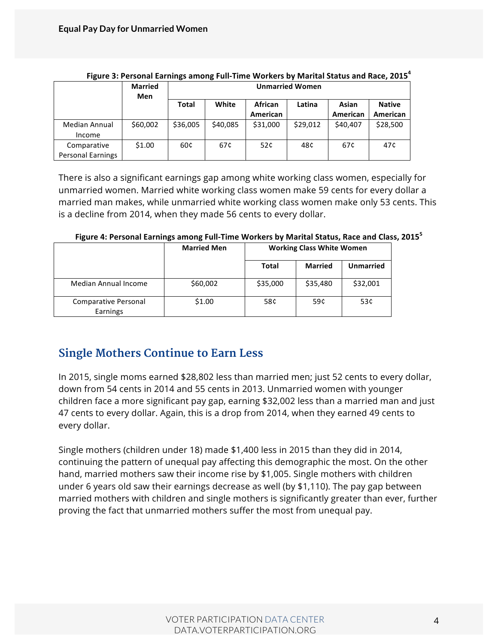|                          | <b>Married</b> |          | <b>Unmarried Women</b> |          |          |          |               |  |
|--------------------------|----------------|----------|------------------------|----------|----------|----------|---------------|--|
|                          | Men            |          |                        |          |          |          |               |  |
|                          |                | Total    | White                  | African  | Latina   | Asian    | <b>Native</b> |  |
|                          |                |          |                        | American |          | American | American      |  |
| Median Annual            | \$60,002       | \$36,005 | \$40,085               | \$31,000 | \$29,012 | \$40,407 | \$28,500      |  |
| Income                   |                |          |                        |          |          |          |               |  |
| Comparative              | \$1.00         | 60¢      | 67¢                    | 52¢      | 48¢      | 67¢      | 47¢           |  |
| <b>Personal Earnings</b> |                |          |                        |          |          |          |               |  |

#### Figure 3: Personal Earnings among Full-Time Workers by Marital Status and Race, 2015<sup>4</sup>

There is also a significant earnings gap among white working class women, especially for unmarried women. Married white working class women make 59 cents for every dollar a married man makes, while unmarried white working class women make only 53 cents. This is a decline from 2014, when they made 56 cents to every dollar.

|                                  | <b>Married Men</b> | <b>Working Class White Women</b> |                |                  |  |
|----------------------------------|--------------------|----------------------------------|----------------|------------------|--|
|                                  |                    | Total                            | <b>Married</b> | <b>Unmarried</b> |  |
| Median Annual Income             | \$60,002           | \$35,000                         | \$35,480       | \$32,001         |  |
| Comparative Personal<br>Earnings | \$1.00             | 58¢                              | 59¢            | 53¢              |  |

Figure 4: Personal Earnings among Full-Time Workers by Marital Status, Race and Class, 2015<sup>5</sup>

#### **Single Mothers Continue to Earn Less**

In 2015, single moms earned \$28,802 less than married men; just 52 cents to every dollar, down from 54 cents in 2014 and 55 cents in 2013. Unmarried women with younger children face a more significant pay gap, earning \$32,002 less than a married man and just 47 cents to every dollar. Again, this is a drop from 2014, when they earned 49 cents to every dollar.

Single mothers (children under 18) made \$1,400 less in 2015 than they did in 2014, continuing the pattern of unequal pay affecting this demographic the most. On the other hand, married mothers saw their income rise by \$1,005. Single mothers with children under 6 years old saw their earnings decrease as well (by \$1,110). The pay gap between married mothers with children and single mothers is significantly greater than ever, further proving the fact that unmarried mothers suffer the most from unequal pay.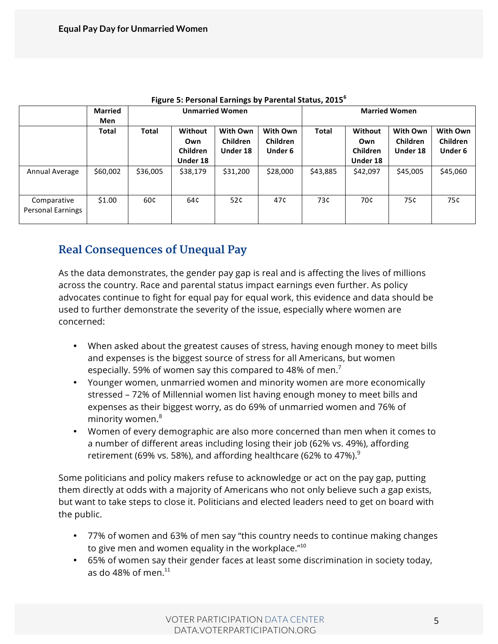|                                         | <b>Married</b><br>Men | <b>Unmarried Women</b> |                                               |                                         |                                        | <b>Married Women</b> |                                        |                                  |                                        |
|-----------------------------------------|-----------------------|------------------------|-----------------------------------------------|-----------------------------------------|----------------------------------------|----------------------|----------------------------------------|----------------------------------|----------------------------------------|
|                                         | <b>Total</b>          | <b>Total</b>           | Without<br>Own<br><b>Children</b><br>Under 18 | <b>With Own</b><br>Children<br>Under 18 | With Own<br><b>Children</b><br>Under 6 | <b>Total</b>         | Without<br>Own<br>Children<br>Under 18 | With Own<br>Children<br>Under 18 | With Own<br>Children<br><b>Under 6</b> |
| Annual Average                          | \$60,002              | \$36,005               | \$38,179                                      | \$31,200                                | \$28,000                               | \$43,885             | \$42,097                               | \$45,005                         | \$45,060                               |
| Comparative<br><b>Personal Earnings</b> | \$1.00                | 60¢                    | 64¢                                           | 52¢                                     | 47¢                                    | 73¢                  | 70¢                                    | 75¢                              | 75¢                                    |

|  |  |  |  | Figure 5: Personal Earnings by Parental Status, 2015 <sup>6</sup> |
|--|--|--|--|-------------------------------------------------------------------|
|--|--|--|--|-------------------------------------------------------------------|

#### **Real Consequences of Unequal Pay**

As the data demonstrates, the gender pay gap is real and is affecting the lives of millions across the country. Race and parental status impact earnings even further. As policy advocates continue to fight for equal pay for equal work, this evidence and data should be used to further demonstrate the severity of the issue, especially where women are concerned:

- When asked about the greatest causes of stress, having enough money to meet bills and expenses is the biggest source of stress for all Americans, but women especially. 59% of women say this compared to 48% of men.<sup>7</sup>
- Younger women, unmarried women and minority women are more economically stressed – 72% of Millennial women list having enough money to meet bills and expenses as their biggest worry, as do 69% of unmarried women and 76% of minority women.<sup>8</sup>
- Women of every demographic are also more concerned than men when it comes to a number of different areas including losing their job (62% vs. 49%), affording retirement (69% vs. 58%), and affording healthcare (62% to 47%). $^9$

Some politicians and policy makers refuse to acknowledge or act on the pay gap, putting them directly at odds with a majority of Americans who not only believe such a gap exists, but want to take steps to close it. Politicians and elected leaders need to get on board with the public.

- 77% of women and 63% of men say "this country needs to continue making changes to give men and women equality in the workplace. $"10"$
- 65% of women say their gender faces at least some discrimination in society today, as do 48% of men. $^{11}$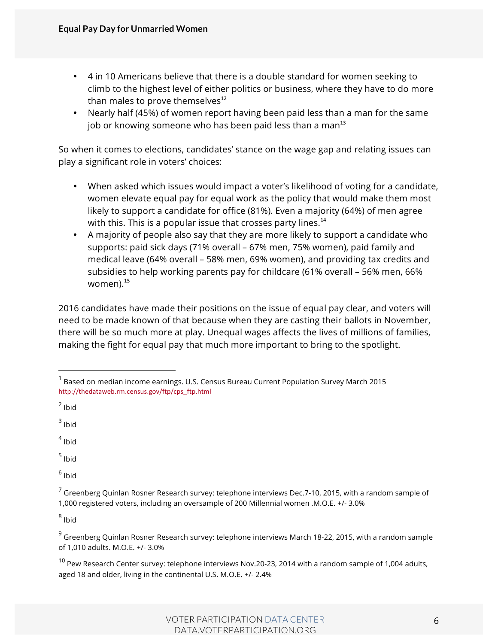- 4 in 10 Americans believe that there is a double standard for women seeking to climb to the highest level of either politics or business, where they have to do more than males to prove themselves $^{12}$
- Nearly half (45%) of women report having been paid less than a man for the same job or knowing someone who has been paid less than a man $^{13}$

So when it comes to elections, candidates' stance on the wage gap and relating issues can play a significant role in voters' choices:

- When asked which issues would impact a voter's likelihood of voting for a candidate, women elevate equal pay for equal work as the policy that would make them most likely to support a candidate for office (81%). Even a majority (64%) of men agree with this. This is a popular issue that crosses party lines. $14$
- A majority of people also say that they are more likely to support a candidate who supports: paid sick days (71% overall – 67% men, 75% women), paid family and medical leave (64% overall – 58% men, 69% women), and providing tax credits and subsidies to help working parents pay for childcare (61% overall – 56% men, 66% women). $15$

2016 candidates have made their positions on the issue of equal pay clear, and voters will need to be made known of that because when they are casting their ballots in November, there will be so much more at play. Unequal wages affects the lives of millions of families, making the fight for equal pay that much more important to bring to the spotlight.

 $3$  Ibid

 $4$  Ibid

 $<sup>5</sup>$  Ibid</sup>

 $6$  Ibid

 $8$  Ibid

 $1$  Based on median income earnings. U.S. Census Bureau Current Population Survey March 2015 http://thedataweb.rm.census.gov/ftp/cps\_ftp.html

 $2$  Ibid

 $7$  Greenberg Quinlan Rosner Research survey: telephone interviews Dec.7-10, 2015, with a random sample of 1,000 registered voters, including an oversample of 200 Millennial women .M.O.E. +/- 3.0%

 $9$  Greenberg Quinlan Rosner Research survey: telephone interviews March 18-22, 2015, with a random sample of 1,010 adults. M.O.E. +/- 3.0%

 $^{10}$  Pew Research Center survey: telephone interviews Nov.20-23, 2014 with a random sample of 1,004 adults, aged 18 and older, living in the continental U.S. M.O.E. +/- 2.4%